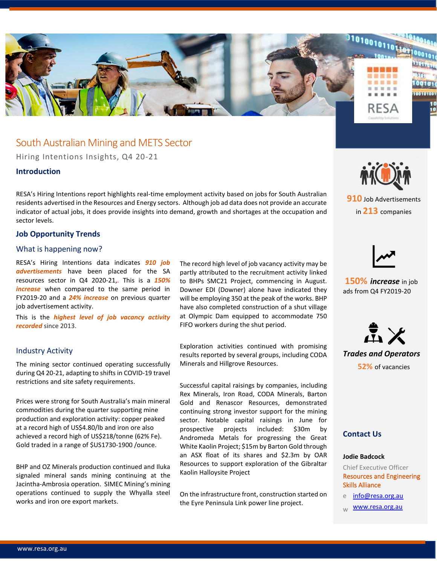

## South Australian Mining and METS Sector

Hiring Intentions Insights, Q4 20-21

### **Introduction**

RESA's Hiring Intentions report highlights real-time employment activity based on jobs for South Australian residents advertised in the Resources and Energy sectors. Although job ad data does not provide an accurate indicator of actual jobs, it does provide insights into demand, growth and shortages at the occupation and sector levels.

### **Job Opportunity Trends**

### What is happening now?

RESA's Hiring Intentions data indicates *910 job advertisements* have been placed for the SA resources sector in Q4 2020-21,. This is a *150% increase* when compared to the same period in FY2019-20 and a *24% increase* on previous quarter job advertisement activity.

This is the *highest level of job vacancy activity recorded* since 2013.

### Industry Activity

The mining sector continued operating successfully during Q4 20-21, adapting to shifts in COVID-19 travel restrictions and site safety requirements.

Prices were strong for South Australia's main mineral commodities during the quarter supporting mine production and exploration activity: copper peaked at a record high of US\$4.80/lb and iron ore also achieved a record high of US\$218/tonne (62% Fe). Gold traded in a range of \$US1730-1900 /ounce.

BHP and OZ Minerals production continued and Iluka signaled mineral sands mining continuing at the Jacintha-Ambrosia operation. SIMEC Mining's mining operations continued to supply the Whyalla steel works and iron ore export markets.

The record high level of job vacancy activity may be partly attributed to the recruitment activity linked to BHPs SMC21 Project, commencing in August. Downer EDI (Downer) alone have indicated they will be employing 350 at the peak of the works. BHP have also completed construction of a shut village at Olympic Dam equipped to accommodate 750 FIFO workers during the shut period.

Exploration activities continued with promising results reported by several groups, including CODA Minerals and Hillgrove Resources.

Successful capital raisings by companies, including Rex Minerals, Iron Road, CODA Minerals, Barton Gold and Renascor Resources, demonstrated continuing strong investor support for the mining sector. Notable capital raisings in June for prospective projects included: \$30m by Andromeda Metals for progressing the Great White Kaolin Project; \$15m by Barton Gold through an ASX float of its shares and \$2.3m by OAR Resources to support exploration of the Gibraltar Kaolin Halloysite Project

On the infrastructure front, construction started on the Eyre Peninsula Link power line project.



**910** Job Advertisements in **213** companies



**150%** *increase* in job ads from Q4 FY2019-20



*Trades and Operators* **52%** of vacancies

### **Contact Us**

#### **Jodie Badcock**

Chief Executive Officer Resources and Engineering Skills Alliance

- e [info@resa.org.au](mailto:info@resa.org.au)
- [www.resa.org.au](http://www.resa.org.au/)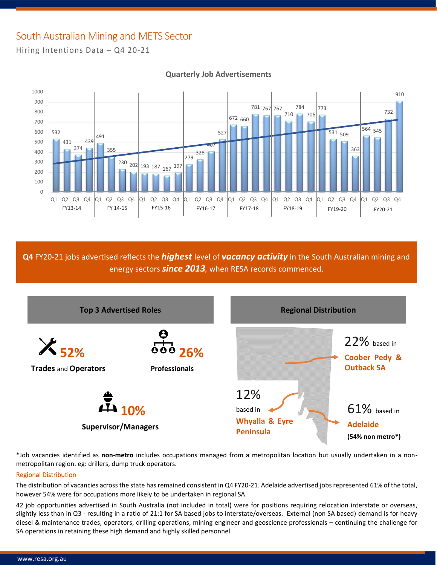# South Australian Mining and METS Sector

Hiring Intentions Data – Q4 20-21



## **Quarterly Job Advertisements**

**Q4** FY20-21 jobs advertised reflects the *highest* level of *vacancy activity* in the South Australian mining and energy sectors *since 2013,* when RESA records commenced.



\*Job vacancies identified as **non-metro** includes occupations managed from a metropolitan location but usually undertaken in a nonmetropolitan region. eg: drillers, dump truck operators.

### Regional Distribution

The distribution of vacancies across the state has remained consistent in Q4 FY20-21. Adelaide advertised jobs represented 61% of the total, however 54% were for occupations more likely to be undertaken in regional SA.

42 job opportunities advertised in South Australia (not included in total) were for positions requiring relocation interstate or overseas, slightly less than in Q3 - resulting in a ratio of 21:1 for SA based jobs to interstate/overseas. External (non SA based) demand is for heavy diesel & maintenance trades, operators, drilling operations, mining engineer and geoscience professionals – continuing the challenge for SA operations in retaining these high demand and highly skilled personnel.